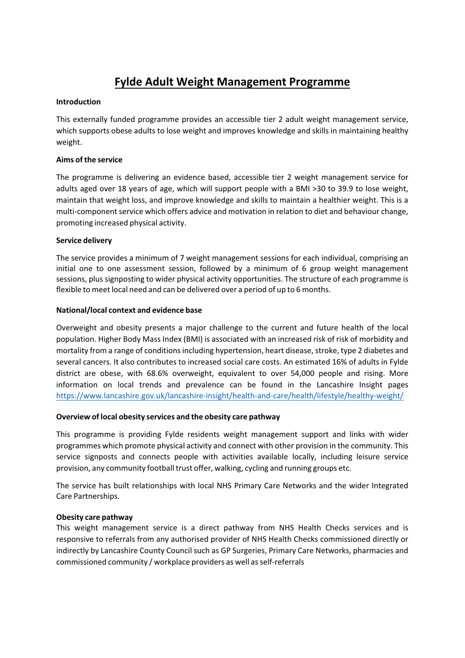# **Fylde Adult Weight Management Programme**

# **Introduction**

This externally funded programme provides an accessible tier 2 adult weight management service, which supports obese adults to lose weight and improves knowledge and skills in maintaining healthy weight.

#### **Aims ofthe service**

The programme is delivering an evidence based, accessible tier 2 weight management service for adults aged over 18 years of age, which will support people with a BMI >30 to 39.9 to lose weight, maintain that weight loss, and improve knowledge and skills to maintain a healthier weight. This is a multi-component service which offers advice and motivation in relation to diet and behaviour change, promoting increased physical activity.

# **Service delivery**

The service provides a minimum of 7 weight management sessions for each individual, comprising an initial one to one assessment session, followed by a minimum of 6 group weight management sessions, plus signposting to wider physical activity opportunities. The structure of each programme is flexible to meet local need and can be delivered over a period of up to 6 months.

# **National/local context and evidence base**

Overweight and obesity presents a major challenge to the current and future health of the local population. Higher Body Mass Index (BMI) is associated with an increased risk of risk of morbidity and mortality from a range of conditions including hypertension, heart disease, stroke, type 2 diabetes and several cancers. It also contributes to increased social care costs. An estimated 16% of adults in Fylde district are obese, with 68.6% overweight, equivalent to over 54,000 people and rising. More information on local trends and prevalence can be found in the Lancashire Insight pages [https://www.lancashire.gov.uk/lancashire‐insight/health‐and‐care/health/lifestyle/healthy‐weight/](https://www.lancashire.gov.uk/lancashire-insight/health-and-care/health/lifestyle/healthy-weight/)

#### **Overview of local obesity services and the obesity care pathway**

This programme is providing Fylde residents weight management support and links with wider programmes which promote physical activity and connect with other provision in the community. This service signposts and connects people with activities available locally, including leisure service provision, any community football trust offer, walking, cycling and running groups etc.

The service has built relationships with local NHS Primary Care Networks and the wider Integrated Care Partnerships.

#### **Obesity care pathway**

This weight management service is a direct pathway from NHS Health Checks services and is responsive to referrals from any authorised provider of NHS Health Checks commissioned directly or indirectly by Lancashire County Council such as GP Surgeries, Primary Care Networks, pharmacies and commissioned community / workplace providers as well as self-referrals